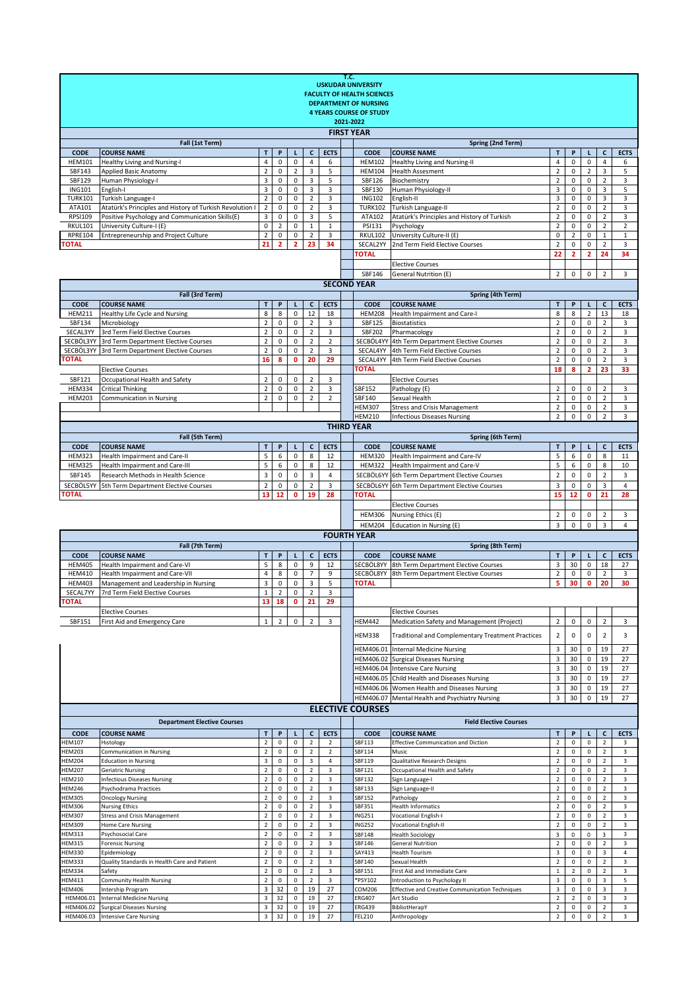| T.C.<br><b>USKUDAR UNIVERSITY</b><br><b>FACULTY OF HEALTH SCIENCES</b><br><b>DEPARTMENT OF NURSING</b><br><b>4 YEARS COURSE OF STUDY</b><br>2021-2022 |                                                                              |                                  |                            |                             |                                  |                   |                                     |                                  |                                                                           |                                           |                             |                          |                                  |                   |
|-------------------------------------------------------------------------------------------------------------------------------------------------------|------------------------------------------------------------------------------|----------------------------------|----------------------------|-----------------------------|----------------------------------|-------------------|-------------------------------------|----------------------------------|---------------------------------------------------------------------------|-------------------------------------------|-----------------------------|--------------------------|----------------------------------|-------------------|
| <b>FIRST YEAR</b>                                                                                                                                     |                                                                              |                                  |                            |                             |                                  |                   |                                     |                                  |                                                                           |                                           |                             |                          |                                  |                   |
| Fall (1st Term)<br><b>Spring (2nd Term)</b>                                                                                                           |                                                                              |                                  |                            |                             |                                  |                   |                                     |                                  |                                                                           |                                           |                             |                          |                                  |                   |
| <b>CODE</b>                                                                                                                                           | <b>COURSE NAME</b>                                                           | T                                | P                          | L                           | c                                | <b>ECTS</b>       |                                     | <b>CODE</b>                      | <b>COURSE NAME</b>                                                        | T                                         | P                           | г                        | c                                | <b>ECTS</b>       |
| <b>HEM101</b><br>SBF143                                                                                                                               | Healthy Living and Nursing-I<br><b>Applied Basic Anatomy</b>                 | 4<br>$\overline{2}$              | $\mathbf 0$<br>$\mathsf 0$ | $\pmb{0}$<br>$\mathbf 2$    | $\overline{4}$<br>3              | 6<br>5            |                                     | <b>HEM102</b><br><b>HEM104</b>   | Healthy Living and Nursing-II<br><b>Health Assesment</b>                  | 4<br>$\overline{2}$                       | $\pmb{0}$<br>0              | 0<br>$\overline{2}$      | 4<br>3                           | 6<br>5            |
| SBF129                                                                                                                                                | Human Physiology-I                                                           | 3                                | $\mathbf 0$                | $\mathsf 0$                 | 3                                | 5                 |                                     | SBF126                           | Biochemistry                                                              | $\overline{2}$                            | 0                           | 0                        | $\overline{2}$                   | 3                 |
| <b>ING101</b>                                                                                                                                         | English-I                                                                    | 3                                | $\mathbf 0$                | $\pmb{0}$                   | 3                                | 3                 |                                     | SBF130                           | Human Physiology-II                                                       | 3                                         | 0                           | 0                        | 3                                | 5                 |
| <b>TURK101</b><br>ATA101                                                                                                                              | Turkish Language-I<br>Atatürk's Principles and History of Turkish Revolution | $\mathbf 2$<br>$\mathbf 2$       | $\mathbf 0$<br>$\mathbf 0$ | $\mathsf 0$<br>0            | $\mathbf 2$<br>$\overline{2}$    | 3<br>3            |                                     | <b>ING102</b><br><b>TURK102</b>  | English-II<br>Turkish Language-II                                         | 3<br>$\overline{\mathbf{c}}$              | 0<br>0                      | 0<br>0                   | 3<br>$\mathbf 2$                 | 3<br>3            |
| <b>RPSI109</b>                                                                                                                                        | Positive Psychology and Communication Skills(E)                              | 3                                | $\mathbf 0$                | $\mathsf 0$                 | 3                                | 5                 |                                     | ATA102                           | Atatürk's Principles and History of Turkish                               | $\overline{2}$                            | 0                           | 0                        | $\overline{2}$                   | 3                 |
| <b>RKUL101</b>                                                                                                                                        | University Culture-I (E)                                                     | $\pmb{0}$                        | $\mathbf 2$                | $\pmb{0}$                   | $\,1\,$                          | $\mathbf 1$       |                                     | <b>PSI131</b>                    | Psychology                                                                | $\mathbf 2$                               | $\pmb{0}$                   | $\pmb{0}$                | $\overline{2}$                   | $\mathbf 2$       |
| RPRE104                                                                                                                                               | Entrepreneurship and Project Culture                                         | $\overline{2}$                   | $\mathbf 0$                | 0                           | $\mathbf 2$                      | 3                 |                                     | <b>RKUL102</b>                   | University Culture-II (E)                                                 | 0                                         | $\overline{\mathbf{c}}$     | 0                        | $\mathbf 1$                      | $\mathbf{1}$      |
| <b>TOTAL</b>                                                                                                                                          |                                                                              | 21                               | $\overline{\mathbf{2}}$    | $\overline{\mathbf{2}}$     | 23                               | 34                |                                     | SECAL2YY<br><b>TOTAL</b>         | 2nd Term Field Elective Courses                                           | $\overline{2}$<br>22                      | $\pmb{0}$<br>$\overline{2}$ | 0<br>2                   | $\overline{2}$<br>24             | 3<br>34           |
|                                                                                                                                                       |                                                                              |                                  |                            |                             |                                  |                   |                                     |                                  | <b>Elective Courses</b>                                                   |                                           |                             |                          |                                  |                   |
|                                                                                                                                                       |                                                                              |                                  |                            |                             |                                  |                   |                                     | SBF146                           | <b>General Nutrition (E)</b>                                              | $\overline{2}$                            | $\mathsf 0$                 | $\mathsf 0$              | $\overline{2}$                   | 3                 |
|                                                                                                                                                       |                                                                              |                                  | <b>SECOND YEAR</b>         |                             |                                  |                   |                                     |                                  |                                                                           |                                           |                             |                          |                                  |                   |
|                                                                                                                                                       | Fall (3rd Term)                                                              |                                  |                            |                             |                                  |                   |                                     |                                  | Spring (4th Term)                                                         |                                           |                             |                          |                                  |                   |
| <b>CODE</b><br><b>HEM211</b>                                                                                                                          | <b>COURSE NAME</b><br>Healthy Life Cycle and Nursing                         | T<br>8                           | P<br>8                     | L<br>$\mathsf 0$            | $\mathbf c$<br>12                | <b>ECTS</b><br>18 |                                     | <b>CODE</b><br><b>HEM208</b>     | <b>COURSE NAME</b><br>Health Impairment and Care-I                        | T<br>8                                    | P<br>8                      | L<br>$\overline{2}$      | C<br>13                          | <b>ECTS</b><br>18 |
| SBF134                                                                                                                                                | Microbiology                                                                 | $\overline{2}$                   | $\mathbf 0$                | $\pmb{0}$                   | $\overline{2}$                   | 3                 |                                     | SBF125                           | <b>Biostatistics</b>                                                      | $\overline{2}$                            | 0                           | $\mathsf 0$              | $\overline{2}$                   | 3                 |
| SECAL3YY                                                                                                                                              | 3rd Term Field Elective Courses                                              | $\mathbf 2$                      | $\pmb{0}$                  | $\mathsf 0$                 | $\mathbf 2$                      | 3                 |                                     | SBF202                           | Pharmacology                                                              | $\overline{2}$                            | 0                           | 0                        | $\overline{2}$                   | 3                 |
| SECBÖL3YY                                                                                                                                             | 3rd Term Department Elective Courses                                         | $\mathbf 2$                      | $\mathsf 0$                | 0                           | $\overline{2}$                   | $\mathbf 2$       |                                     | SECBÖL4YY                        | 4th Term Department Elective Courses                                      | $\overline{2}$                            | 0                           | 0                        | $\overline{2}$                   | 3                 |
| SECBÖL3YY<br><b>TOTAL</b>                                                                                                                             | 3rd Term Department Elective Courses                                         | $\mathbf 2$<br>16                | $\mathsf 0$<br>8           | 0<br>$\mathbf 0$            | $\overline{2}$<br>20             | 3<br>29           |                                     | SECAL4YY<br>SECAL4YY             | 4th Term Field Elective Courses<br>4th Term Field Elective Courses        | $\overline{\mathbf{c}}$<br>$\overline{2}$ | 0<br>0                      | 0<br>0                   | $\mathbf 2$<br>$\overline{2}$    | 3<br>3            |
|                                                                                                                                                       | <b>Elective Courses</b>                                                      |                                  |                            |                             |                                  |                   |                                     | <b>TOTAL</b>                     |                                                                           | 18                                        | 8                           | $\overline{\mathbf{2}}$  | 23                               | 33                |
| SBF121                                                                                                                                                | Occupational Health and Safety                                               | $\mathbf 2$                      | $\mathbf 0$                | $\mathsf 0$                 | $\mathbf 2$                      | 3                 |                                     |                                  | <b>Elective Courses</b>                                                   |                                           |                             |                          |                                  |                   |
| <b>HEM334</b>                                                                                                                                         | <b>Critical Thinking</b>                                                     | $\mathbf 2$                      | 0                          | $\pmb{0}$                   | $\mathbf 2$                      | 3                 |                                     | SBF152                           | Pathology (E)                                                             | $\mathbf 2$                               | $\mathsf 0$                 | 0                        | $\mathbf 2$                      | 3                 |
| <b>HEM203</b>                                                                                                                                         | <b>Communication in Nursing</b>                                              | $\overline{2}$                   | 0                          | 0                           | $\overline{2}$                   | $\overline{2}$    |                                     | SBF140<br><b>HEM307</b>          | Sexual Health<br><b>Stress and Crisis Management</b>                      | $\overline{2}$<br>$\overline{2}$          | 0<br>0                      | 0<br>0                   | $\overline{2}$<br>$\overline{2}$ | 3<br>3            |
|                                                                                                                                                       |                                                                              |                                  |                            |                             |                                  |                   |                                     | <b>HEM210</b>                    | <b>Infectious Diseases Nursing</b>                                        | $\overline{2}$                            | $\pmb{0}$                   | 0                        | $\overline{2}$                   | 3                 |
|                                                                                                                                                       |                                                                              |                                  |                            | <b>THIRD YEAR</b>           |                                  |                   |                                     |                                  |                                                                           |                                           |                             |                          |                                  |                   |
|                                                                                                                                                       | Fall (5th Term)                                                              |                                  |                            |                             |                                  |                   |                                     |                                  | Spring (6th Term)                                                         |                                           |                             |                          |                                  |                   |
| <b>CODE</b>                                                                                                                                           | <b>COURSE NAME</b>                                                           | т                                | P                          | L                           | c                                | <b>ECTS</b>       |                                     | <b>CODE</b>                      | <b>COURSE NAME</b>                                                        | т                                         | P                           |                          | C                                | <b>ECTS</b>       |
| <b>HEM323</b><br><b>HEM325</b>                                                                                                                        | Health Impairment and Care-II<br>Health Impairment and Care-III              | 5<br>$\sf 5$                     | 6<br>$\,6\,$               | $\mathsf 0$<br>$\pmb{0}$    | 8<br>8                           | 12<br>12          |                                     | <b>HEM320</b><br><b>HEM322</b>   | Health Impairment and Care-IV<br>Health Impairment and Care-V             | 5<br>5                                    | 6<br>6                      | 0<br>0                   | 8<br>8                           | 11<br>10          |
| SBF145                                                                                                                                                | Research Methods in Health Science                                           | 3                                | $\mathsf 0$                | $\mathsf 0$                 | 3                                | $\overline{4}$    |                                     | SECBÖL6YY                        | 6th Term Department Elective Courses                                      | $\overline{2}$                            | $\pmb{0}$                   | 0                        | $\overline{2}$                   | 3                 |
| SECBÖL5YY                                                                                                                                             | 5th Term Department Elective Courses                                         | $\mathbf 2$                      | $\mathbf 0$                | $\mathsf 0$                 | $\overline{2}$                   | 3                 |                                     |                                  | SECBÖL6YY 6th Term Department Elective Courses                            | 3                                         | 0                           | 0                        | 3                                | 4                 |
| <b>TOTAL</b>                                                                                                                                          |                                                                              | 13                               | 12                         | 0                           | 19                               | 28                |                                     | <b>TOTAL</b>                     |                                                                           | 15                                        | 12                          | 0                        | 21                               | 28                |
| <b>Elective Courses</b>                                                                                                                               |                                                                              |                                  |                            |                             |                                  |                   |                                     |                                  |                                                                           |                                           |                             |                          |                                  |                   |
|                                                                                                                                                       |                                                                              |                                  |                            | <b>HEM306</b>               | Nursing Ethics (E)               | $\overline{2}$    | 0                                   | 0                                | $\overline{2}$                                                            | 3                                         |                             |                          |                                  |                   |
|                                                                                                                                                       |                                                                              |                                  |                            |                             |                                  |                   | <b>HEM204</b><br><b>FOURTH YEAR</b> | Education in Nursing (E)         | 3                                                                         | $\pmb{0}$                                 | 0                           | $\overline{3}$           | $\overline{4}$                   |                   |
|                                                                                                                                                       | Fall (7th Term)                                                              |                                  |                            |                             |                                  |                   |                                     |                                  | Spring (8th Term)                                                         |                                           |                             |                          |                                  |                   |
| <b>CODE</b>                                                                                                                                           | <b>COURSE NAME</b>                                                           | T                                | P                          | L.                          | c                                | <b>ECTS</b>       |                                     | <b>CODE</b>                      | <b>COURSE NAME</b>                                                        | T.                                        | P                           | L                        | c                                | <b>ECTS</b>       |
| <b>HEM405</b>                                                                                                                                         | Health Impairment and Care-VI                                                | 5                                | 8                          | $\mathsf 0$                 | 9                                | 12                |                                     | SECBÖL8YY                        | 8th Term Department Elective Courses                                      | 3                                         | 30                          | 0                        | 18                               | 27                |
| <b>HEM410</b>                                                                                                                                         | Health Impairment and Care-VII                                               | 4<br>3                           | 8                          | 0<br>0                      | $\overline{7}$<br>3              | 9<br>5            |                                     | SECBÖL8YY<br><b>TOTAL</b>        | 8th Term Department Elective Courses                                      | $\overline{\mathbf{c}}$<br>5              | 0<br>30                     | 0<br>0                   | $\mathbf 2$<br>20                | 3<br>30           |
| <b>HEM403</b><br>SECAL7YY                                                                                                                             | Management and Leadership in Nursing<br>7rd Term Field Elective Courses      | $\mathbf 1$                      | $\mathbf 0$<br>$\mathbf 2$ | $\mathsf{O}\xspace$         | $\mathbf 2$                      | 3                 |                                     |                                  |                                                                           |                                           |                             |                          |                                  |                   |
| <b>TOTAL</b>                                                                                                                                          |                                                                              | 13                               | 18                         | 0                           | 21                               | 29                |                                     |                                  |                                                                           |                                           |                             |                          |                                  |                   |
|                                                                                                                                                       | <b>Elective Courses</b>                                                      |                                  |                            |                             |                                  |                   |                                     |                                  | <b>Elective Courses</b>                                                   |                                           |                             |                          |                                  |                   |
| SBF151                                                                                                                                                | First Aid and Emergency Care                                                 | $\mathbf 1$                      | $\overline{2}$             | 0                           | $\overline{2}$                   | 3                 |                                     | <b>HEM442</b>                    | Medication Safety and Management (Project)                                | $\overline{2}$                            | 0                           | 0                        | $\overline{2}$                   | 3                 |
|                                                                                                                                                       |                                                                              |                                  |                            |                             |                                  |                   |                                     | <b>HEM338</b>                    | <b>Traditional and Complementary Treatment Practices</b>                  | $\overline{2}$                            | 0                           | 0                        | $\overline{2}$                   | 3                 |
|                                                                                                                                                       |                                                                              |                                  |                            |                             |                                  |                   |                                     | HEM406.01                        | <b>Internal Medicine Nursing</b>                                          | 3                                         | 30                          | $\mathsf 0$              | 19                               | 27                |
|                                                                                                                                                       |                                                                              |                                  |                            |                             |                                  |                   |                                     |                                  | HEM406.02 Surgical Diseases Nursing                                       | 3                                         | 30                          | 0                        | 19                               | 27                |
|                                                                                                                                                       |                                                                              |                                  |                            |                             |                                  |                   |                                     | HEM406.04 Intensive Care Nursing | 3                                                                         | 30                                        | 0                           | 19                       | 27                               |                   |
|                                                                                                                                                       |                                                                              |                                  |                            |                             |                                  |                   |                                     | HEM406.05                        | Child Health and Diseases Nursing                                         | 3                                         | 30                          | 0                        | 19                               | 27                |
|                                                                                                                                                       |                                                                              |                                  |                            |                             |                                  |                   |                                     | HEM406.06<br>HEM406.07           | Women Health and Diseases Nursing<br>Mental Health and Psychiatry Nursing | 3<br>3                                    | 30<br>30                    | 0<br>0                   | 19<br>19                         | 27<br>27          |
|                                                                                                                                                       |                                                                              |                                  |                            |                             |                                  |                   |                                     | <b>ELECTIVE COURSES</b>          |                                                                           |                                           |                             |                          |                                  |                   |
|                                                                                                                                                       | <b>Department Elective Courses</b>                                           |                                  |                            |                             |                                  |                   |                                     |                                  | <b>Field Elective Courses</b>                                             |                                           |                             |                          |                                  |                   |
| <b>CODE</b>                                                                                                                                           | <b>COURSE NAME</b>                                                           | T                                | P                          | L                           | C                                | <b>ECTS</b>       |                                     | <b>CODE</b>                      | <b>COURSE NAME</b>                                                        | T                                         | P                           | L                        | c                                | <b>ECTS</b>       |
| <b>HEM107</b>                                                                                                                                         | Histology                                                                    | $\sqrt{2}$                       | $\mathsf 0$                | $\mathsf{O}$                | $\mathbf 2$                      | $\overline{2}$    |                                     | SBF113                           | Effective Communication and Diction                                       | $\overline{2}$                            | 0                           | 0                        | $\overline{2}$                   | 3                 |
| <b>HEM203</b>                                                                                                                                         | Communication in Nursing                                                     | $\mathbf 2$                      | $\mathsf 0$                | $\mathsf{O}$                | $\mathbf 2$                      | $\overline{2}$    |                                     | SBF114                           | Music                                                                     | $\overline{\mathbf{2}}$                   | 0                           | 0                        | $\overline{2}$                   | 3                 |
| <b>HEM204</b>                                                                                                                                         | <b>Education in Nursing</b>                                                  | 3                                | $\mathsf 0$                | $\mathsf{O}$                | 3                                | 4                 |                                     | SBF119                           | Qualitative Research Designs                                              | $\overline{2}$                            | 0                           | 0                        | $\overline{2}$                   | 3                 |
| <b>HEM207</b><br><b>HEM210</b>                                                                                                                        | <b>Geriatric Nursing</b><br><b>Infectious Diseases Nursing</b>               | $\mathbf 2$<br>$\overline{2}$    | $\mathsf 0$<br>$\mathsf 0$ | $\mathsf 0$<br>$\mathsf 0$  | $\overline{2}$<br>$\overline{2}$ | 3<br>$\mathsf 3$  |                                     | SBF121<br>SBF132                 | Occupational Health and Safety<br>Sign Language-I                         | $\overline{2}$<br>$\overline{2}$          | $\mathsf 0$<br>$\mathbf 0$  | 0<br>$\mathsf{O}$        | $\overline{2}$<br>$\overline{2}$ | 3<br>3            |
| <b>HEM246</b>                                                                                                                                         | Psychodrama Practices                                                        | $\mathbf 2$                      | $\mathsf 0$                | $\mathsf{O}$                | $\overline{2}$                   | 3                 |                                     | SBF133                           | Sign Language-II                                                          | $\overline{\mathbf{2}}$                   | 0                           | 0                        | $\mathbf 2$                      | 3                 |
| <b>HEM305</b>                                                                                                                                         | <b>Oncology Nursing</b>                                                      | $\mathbf 2$                      | $\mathsf 0$                | $\mathsf{O}$                | $\mathbf 2$                      | 3                 |                                     | SBF152                           | Pathology                                                                 | $\overline{\mathbf{2}}$                   | $\pmb{0}$                   | 0                        | $\mathbf 2$                      | 3                 |
| <b>HEM306</b>                                                                                                                                         | <b>Nursing Ethics</b>                                                        | $\mathbf 2$                      | $\mathsf 0$                | 0                           | $\mathbf 2$                      | 3                 |                                     | SBF351                           | <b>Health Informatics</b>                                                 | $\mathbf 2$                               | $\pmb{0}$                   | 0                        | $\mathbf 2$                      | 3                 |
| <b>HEM307</b><br><b>HEM309</b>                                                                                                                        | <b>Stress and Crisis Management</b><br><b>Home Care Nursing</b>              | $\overline{2}$<br>$\overline{2}$ | $\mathsf 0$<br>$\mathsf 0$ | $\mathsf 0$<br>$\mathsf{O}$ | $\overline{2}$<br>$\overline{2}$ | 3<br>3            |                                     | <b>ING251</b><br><b>ING252</b>   | Vocational English-I<br><b>Vocational English-II</b>                      | $\overline{2}$<br>$\overline{2}$          | 0<br>$\pmb{0}$              | 0<br>0                   | $\overline{2}$<br>$\mathbf 2$    | 3<br>3            |
| <b>HEM313</b>                                                                                                                                         | Psychosocial Care                                                            | $\mathbf 2$                      | $\mathsf 0$                | $\mathsf{O}$                | $\mathbf 2$                      | 3                 |                                     | SBF148                           | <b>Health Sociology</b>                                                   | 3                                         | 0                           | 0                        | 3                                | 3                 |
| <b>HEM315</b>                                                                                                                                         | <b>Forensic Nursing</b>                                                      | $\mathbf 2$                      | $\mathsf 0$                | $\mathsf{O}$                | $\mathbf 2$                      | 3                 |                                     | SBF146                           | <b>General Nutrition</b>                                                  | $\overline{\mathbf{2}}$                   | $\pmb{0}$                   | 0                        | $\overline{2}$                   | 3                 |
| <b>HEM330</b>                                                                                                                                         | Epidemiology                                                                 | $\mathbf 2$                      | $\mathbf 0$                | $\mathbf 0$                 | $\sqrt{2}$                       | 3                 |                                     | SAY413                           | <b>Health Tourism</b>                                                     | 3                                         | 0                           | $\pmb{0}$                | 3                                | 4                 |
| <b>HEM333</b><br><b>HEM334</b>                                                                                                                        | Quality Standards in Health Care and Patient<br>Safety                       | $\overline{2}$<br>$\overline{2}$ | $\mathsf 0$<br>$\mathsf 0$ | $\mathsf 0$<br>$\mathsf 0$  | $\overline{2}$<br>$\overline{2}$ | 3<br>3            |                                     | SBF140<br>SBF151                 | Sexual Health<br>First Aid and Immediate Care                             | $\overline{2}$<br>$\mathbf{1}$            | 0<br>$\overline{2}$         | 0<br>0                   | $\overline{2}$<br>$\overline{2}$ | 3<br>3            |
| <b>HEM413</b>                                                                                                                                         | <b>Community Health Nursing</b>                                              | $\mathbf 2$                      | $\mathsf 0$                | $\mathsf{O}$                | $\overline{2}$                   | 3                 |                                     | *PSY102                          | Introduction to Psychology II                                             | 3                                         | 0                           | 0                        | 3                                | 5                 |
| <b>HEM406</b>                                                                                                                                         | Intership Program                                                            | 3                                | 32                         | 0                           | 19                               | 27                |                                     | COM206                           | Effective and Creative Communication Techniques                           | 3                                         | 0                           | 0                        | 3                                | 3                 |
| HEM406.01                                                                                                                                             | <b>Internal Medicine Nursing</b>                                             | 3                                | 32                         | 0                           | 19                               | 27                |                                     | <b>ERG407</b>                    | Art Studio                                                                | $\mathbf 2$                               | $\overline{2}$              | 0                        | 3                                | 3                 |
| HEM406.02<br>HEM406.03                                                                                                                                | <b>Surgical Diseases Nursing</b><br><b>Intensive Care Nursing</b>            | 3<br>$\mathsf 3$                 | 32<br>32                   | $\mathsf{O}$<br>$\mathbf 0$ | 19<br>19                         | 27<br>27          |                                     | <b>ERG439</b><br>FEL210          | BibliotHerapY<br>Anthropology                                             | $\overline{2}$<br>$\overline{2}$          | 0<br>$\mathbf 0$            | 0<br>$\mathsf{O}\xspace$ | $\overline{2}$<br>$\overline{2}$ | 3<br>3            |